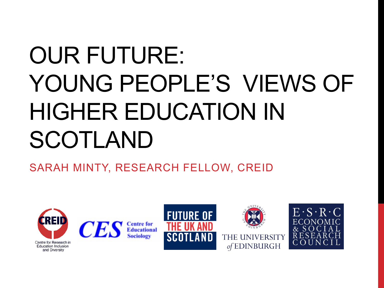# OUR FUTURE: YOUNG PEOPLE'S VIEWS OF HIGHER EDUCATION IN SCOTLAND

SARAH MINTY, RESEARCH FELLOW, CREID

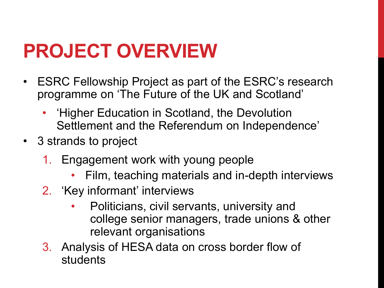## **PROJECT OVERVIEW**

- ESRC Fellowship Project as part of the ESRC's research programme on 'The Future of the UK and Scotland'
	- 'Higher Education in Scotland, the Devolution Settlement and the Referendum on Independence'
- 3 strands to project
	- 1. Engagement work with young people
		- Film, teaching materials and in-depth interviews
	- 2. 'Key informant' interviews
		- Politicians, civil servants, university and college senior managers, trade unions & other relevant organisations
	- 3. Analysis of HESA data on cross border flow of students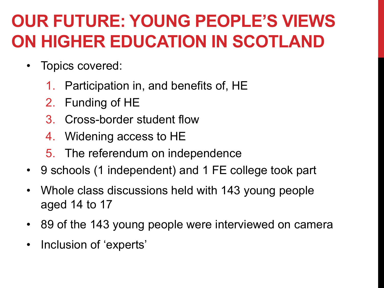#### **OUR FUTURE: YOUNG PEOPLE'S VIEWS ON HIGHER EDUCATION IN SCOTLAND**

- Topics covered:
	- 1. Participation in, and benefits of, HE
	- 2. Funding of HE
	- 3. Cross-border student flow
	- 4. Widening access to HE
	- 5. The referendum on independence
- 9 schools (1 independent) and 1 FE college took part
- Whole class discussions held with 143 young people aged 14 to 17
- 89 of the 143 young people were interviewed on camera
- Inclusion of 'experts'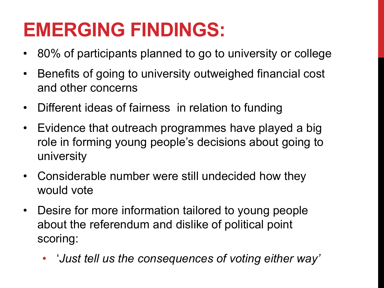### **EMERGING FINDINGS:**

- 80% of participants planned to go to university or college
- Benefits of going to university outweighed financial cost and other concerns
- Different ideas of fairness in relation to funding
- Evidence that outreach programmes have played a big role in forming young people's decisions about going to university
- Considerable number were still undecided how they would vote
- Desire for more information tailored to young people about the referendum and dislike of political point scoring:
	- '*Just tell us the consequences of voting either way'*